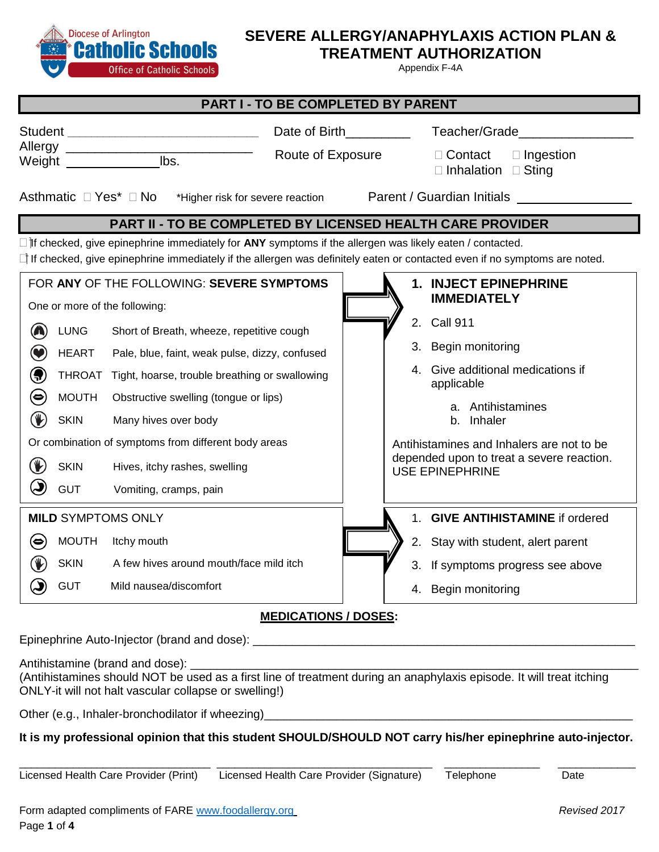

# **SEVERE ALLERGY/ANAPHYLAXIS ACTION PLAN &**

**TREATMENT AUTHORIZATION**

Appendix F-4A

| <b>PART I - TO BE COMPLETED BY PARENT</b>                                                                                                                                                                                                          |               |                                                      |  |                                                                                  |                                                 |  |  |
|----------------------------------------------------------------------------------------------------------------------------------------------------------------------------------------------------------------------------------------------------|---------------|------------------------------------------------------|--|----------------------------------------------------------------------------------|-------------------------------------------------|--|--|
| Student __________________________________<br>Allergy _____________________________<br>lbs.<br>Weight ______________                                                                                                                               |               | Date of Birth <b>Example 20</b><br>Route of Exposure |  | Teacher/Grade<br>□ Contact<br>$\Box$ Ingestion<br>$\Box$ Inhalation $\Box$ Sting |                                                 |  |  |
| Asthmatic □ Yes* □ No<br>Parent / Guardian Initials ____________<br>*Higher risk for severe reaction                                                                                                                                               |               |                                                      |  |                                                                                  |                                                 |  |  |
| <b>PART II - TO BE COMPLETED BY LICENSED HEALTH CARE PROVIDER</b>                                                                                                                                                                                  |               |                                                      |  |                                                                                  |                                                 |  |  |
| $\Box$ if checked, give epinephrine immediately for ANY symptoms if the allergen was likely eaten / contacted.<br>$\Box$ If checked, give epinephrine immediately if the allergen was definitely eaten or contacted even if no symptoms are noted. |               |                                                      |  |                                                                                  |                                                 |  |  |
| FOR ANY OF THE FOLLOWING: SEVERE SYMPTOMS<br>1. INJECT EPINEPHRINE<br><b>IMMEDIATELY</b><br>One or more of the following:                                                                                                                          |               |                                                      |  |                                                                                  |                                                 |  |  |
|                                                                                                                                                                                                                                                    | <b>LUNG</b>   | Short of Breath, wheeze, repetitive cough            |  | 2.                                                                               | <b>Call 911</b>                                 |  |  |
|                                                                                                                                                                                                                                                    | <b>HEART</b>  | Pale, blue, faint, weak pulse, dizzy, confused       |  |                                                                                  | 3. Begin monitoring                             |  |  |
| $\bigoplus$                                                                                                                                                                                                                                        | <b>THROAT</b> | Tight, hoarse, trouble breathing or swallowing       |  |                                                                                  | 4. Give additional medications if<br>applicable |  |  |
| $(\bullet)$                                                                                                                                                                                                                                        | <b>MOUTH</b>  | Obstructive swelling (tongue or lips)                |  |                                                                                  | a. Antihistamines                               |  |  |
| $\circledast$                                                                                                                                                                                                                                      | <b>SKIN</b>   | Many hives over body                                 |  |                                                                                  | b. Inhaler                                      |  |  |
| Or combination of symptoms from different body areas                                                                                                                                                                                               |               |                                                      |  | Antihistamines and Inhalers are not to be                                        |                                                 |  |  |
| (V)                                                                                                                                                                                                                                                | <b>SKIN</b>   | Hives, itchy rashes, swelling                        |  | depended upon to treat a severe reaction.<br><b>USE EPINEPHRINE</b>              |                                                 |  |  |
| $\left(\bigcup\right)$                                                                                                                                                                                                                             | <b>GUT</b>    | Vomiting, cramps, pain                               |  |                                                                                  |                                                 |  |  |
| <b>MILD SYMPTOMS ONLY</b>                                                                                                                                                                                                                          |               |                                                      |  | $1_{-}$                                                                          | <b>GIVE ANTIHISTAMINE if ordered</b>            |  |  |
| (⇔                                                                                                                                                                                                                                                 | <b>MOUTH</b>  | Itchy mouth                                          |  |                                                                                  | 2. Stay with student, alert parent              |  |  |
|                                                                                                                                                                                                                                                    | <b>SKIN</b>   | A few hives around mouth/face mild itch              |  |                                                                                  | 3. If symptoms progress see above               |  |  |
|                                                                                                                                                                                                                                                    | <b>GUT</b>    | Mild nausea/discomfort                               |  | 4.                                                                               | Begin monitoring                                |  |  |
| <b>MEDICATIONS / DOSES:</b>                                                                                                                                                                                                                        |               |                                                      |  |                                                                                  |                                                 |  |  |

Epinephrine Auto-Injector (brand and dose): \_\_\_\_\_\_\_\_\_\_\_\_\_\_\_\_\_\_\_\_\_\_\_\_\_\_\_\_\_\_\_\_\_\_\_\_\_\_\_\_\_\_\_\_\_\_\_\_\_\_\_\_\_\_\_\_\_\_

Antihistamine (brand and dose):

(Antihistamines should NOT be used as a first line of treatment during an anaphylaxis episode. It will treat itching ONLY-it will not halt vascular collapse or swelling!)

Other (e.g., Inhaler-bronchodilator if wheezing)

## **It is my professional opinion that this student SHOULD/SHOULD NOT carry his/her epinephrine auto-injector.**

\_\_\_\_\_\_\_\_\_\_\_\_\_\_\_\_\_\_\_\_\_\_\_\_\_\_\_\_\_\_\_\_ \_\_\_\_\_\_\_\_\_\_\_\_\_\_\_\_\_\_\_\_\_\_\_\_\_\_\_\_\_\_\_\_\_\_\_\_ \_\_\_\_\_\_\_\_\_\_\_\_\_\_\_\_ \_\_\_\_\_\_\_\_\_\_\_\_\_

Licensed Health Care Provider (Print) Licensed Health Care Provider (Signature) Telephone Date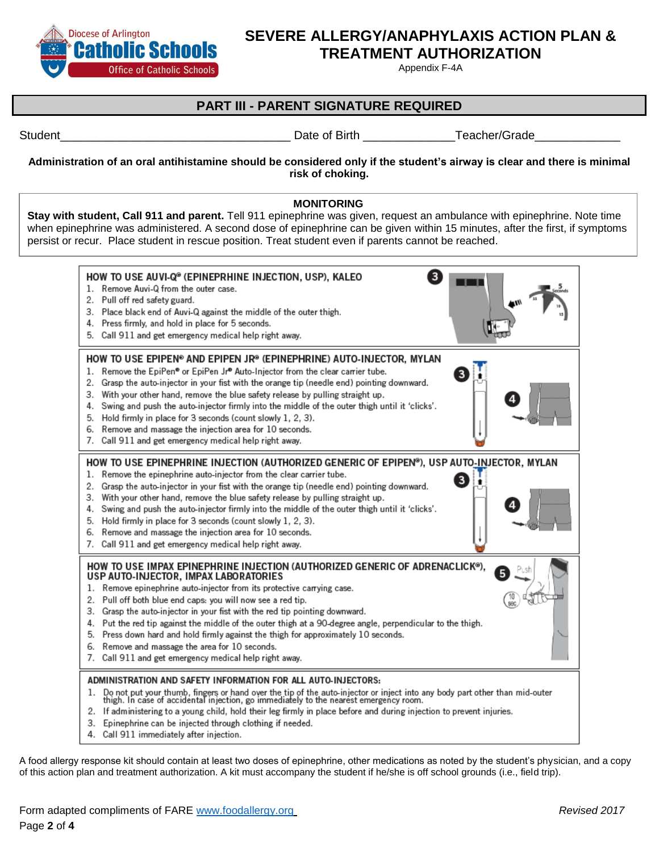

# **SEVERE ALLERGY/ANAPHYLAXIS ACTION PLAN &**

**TREATMENT AUTHORIZATION**

Appendix F-4A

## **PART III - PARENT SIGNATURE REQUIRED**

Student\_\_\_\_\_\_\_\_\_\_\_\_\_\_\_\_\_\_\_\_\_\_\_\_\_\_\_\_\_\_\_\_\_\_\_ Date of Birth \_\_\_\_\_\_\_\_\_\_\_\_\_\_Teacher/Grade\_\_\_\_\_\_\_\_\_\_\_\_\_

#### **Administration of an oral antihistamine should be considered only if the student's airway is clear and there is minimal risk of choking.**

#### **MONITORING**

**Stay with student, Call 911 and parent.** Tell 911 epinephrine was given, request an ambulance with epinephrine. Note time when epinephrine was administered. A second dose of epinephrine can be given within 15 minutes, after the first, if symptoms persist or recur. Place student in rescue position. Treat student even if parents cannot be reached.



A food allergy response kit should contain at least two doses of epinephrine, other medications as noted by the student's physician, and a copy of this action plan and treatment authorization. A kit must accompany the student if he/she is off school grounds (i.e., field trip).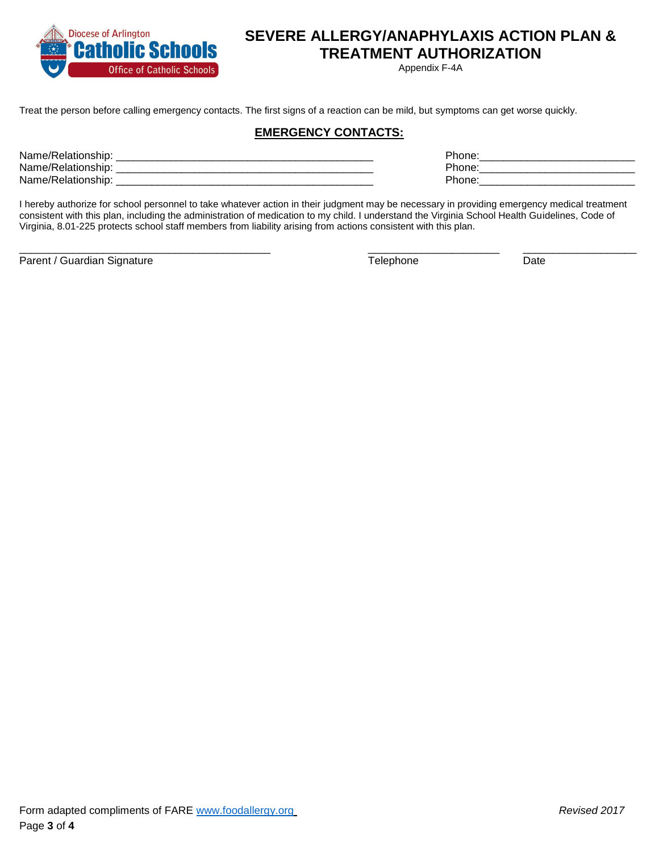

# **SEVERE ALLERGY/ANAPHYLAXIS ACTION PLAN &**

**TREATMENT AUTHORIZATION**

Appendix F-4A

Treat the person before calling emergency contacts. The first signs of a reaction can be mild, but symptoms can get worse quickly.

### **EMERGENCY CONTACTS:**

| Name/F<br>/Relationship: | Phone: |
|--------------------------|--------|
| Name/Relationship:       | Phone. |
| Name/Relationship:       | Phone. |
|                          |        |

I hereby authorize for school personnel to take whatever action in their judgment may be necessary in providing emergency medical treatment consistent with this plan, including the administration of medication to my child. I understand the Virginia School Health Guidelines, Code of Virginia, 8.01-225 protects school staff members from liability arising from actions consistent with this plan.

\_\_\_\_\_\_\_\_\_\_\_\_\_\_\_\_\_\_\_\_\_\_\_\_\_\_\_\_\_\_\_\_\_\_\_\_\_\_\_\_\_\_ \_\_\_\_\_\_\_\_\_\_\_\_\_\_\_\_\_\_\_\_\_\_ \_\_\_\_\_\_\_\_\_\_\_\_\_\_\_\_\_\_\_

Parent / Guardian Signature Date Date Controller and Telephone Date Date